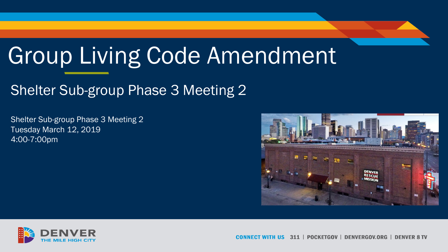# Group Living Code Amendment

#### Shelter Sub-group Phase 3 Meeting 2

Shelter Sub-group Phase 3 Meeting 2 Tuesday March 12, 2019 4:00-7:00pm





311 | POCKETGOV | DENVERGOV.ORG | DENVER 8 TV COI NNECT WITH US |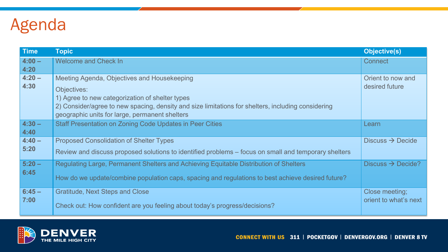# Agenda

| <b>Time</b>      | <b>Topic</b>                                                                                                                                                                                                                                                          | <b>Objective(s)</b>                     |
|------------------|-----------------------------------------------------------------------------------------------------------------------------------------------------------------------------------------------------------------------------------------------------------------------|-----------------------------------------|
| $4:00 -$<br>4:20 | <b>Welcome and Check In</b>                                                                                                                                                                                                                                           | <b>Connect</b>                          |
| $4:20 -$<br>4:30 | Meeting Agenda, Objectives and Housekeeping<br>Objectives:<br>1) Agree to new categorization of shelter types<br>2) Consider/agree to new spacing, density and size limitations for shelters, including considering<br>geographic units for large, permanent shelters | Orient to now and<br>desired future     |
| $4:30 -$<br>4:40 | <b>Staff Presentation on Zoning Code Updates in Peer Cities</b>                                                                                                                                                                                                       | Learn                                   |
| $4:40 -$<br>5:20 | <b>Proposed Consolidation of Shelter Types</b><br>Review and discuss proposed solutions to identified problems – focus on small and temporary shelters                                                                                                                | Discuss $\rightarrow$ Decide            |
| $5:20 -$<br>6:45 | Regulating Large, Permanent Shelters and Achieving Equitable Distribution of Shelters<br>How do we update/combine population caps, spacing and regulations to best achieve desired future?                                                                            | Discuss $\rightarrow$ Decide?           |
| $6:45 -$<br>7:00 | <b>Gratitude, Next Steps and Close</b><br>Check out: How confident are you feeling about today's progress/decisions?                                                                                                                                                  | Close meeting;<br>orient to what's next |

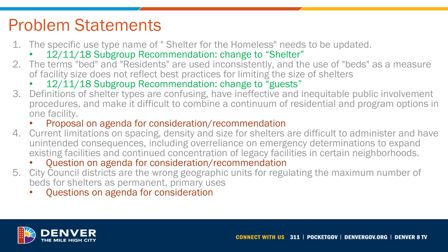# Problem Statements

- 1. The specific use type name of " Shelter for the Homeless" needs to be updated.
	- 12/11/18 Subgroup Recommendation: change to "Shelter"
- 2. The terms "bed" and "Residents" are used inconsistently, and the use of "beds" as a measure of facility size does not reflect best practices for limiting the size of shelters
	- 12/11/18 Subgroup Recommendation: change to "guests"
- 3. Definitions of shelter types are confusing, have ineffective and inequitable public involvement procedures, and make it difficult to combine a continuum of residential and program options in one facility.
	- Proposal on agenda for consideration/recommendation
- 4. Current limitations on spacing, density and size for shelters are difficult to administer and have unintended consequences, including overreliance on emergency determinations to expand existing facilities and continued concentration of legacy facilities in certain neighborhoods.
	- Question on agenda for consideration/recommendation
- 5. City Council districts are the wrong geographic units for regulating the maximum number of beds for shelters as permanent, primary uses
	- Questions on agenda for consideration

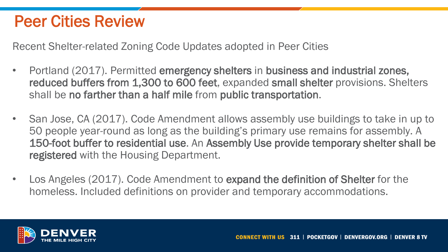## Peer Cities Review

Recent Shelter-related Zoning Code Updates adopted in Peer Cities

- Portland (2017). Permitted emergency shelters in business and industrial zones, reduced buffers from 1,300 to 600 feet, expanded small shelter provisions. Shelters shall be no farther than a half mile from public transportation.
- San Jose, CA (2017). Code Amendment allows assembly use buildings to take in up to 50 people year-round as long as the building's primary use remains for assembly. A 150-foot buffer to residential use. An Assembly Use provide temporary shelter shall be registered with the Housing Department.
- Los Angeles (2017). Code Amendment to expand the definition of Shelter for the homeless. Included definitions on provider and temporary accommodations.

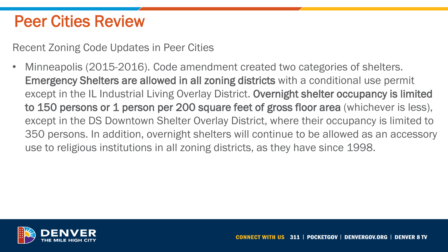## Peer Cities Review

Recent Zoning Code Updates in Peer Cities

Minneapolis (2015-2016). Code amendment created two categories of shelters. Emergency Shelters are allowed in all zoning districts with a conditional use permit except in the IL Industrial Living Overlay District. Overnight shelter occupancy is limited to 150 persons or 1 person per 200 square feet of gross floor area (whichever is less), except in the DS Downtown Shelter Overlay District, where their occupancy is limited to 350 persons. In addition, overnight shelters will continue to be allowed as an accessory use to religious institutions in all zoning districts, as they have since 1998.

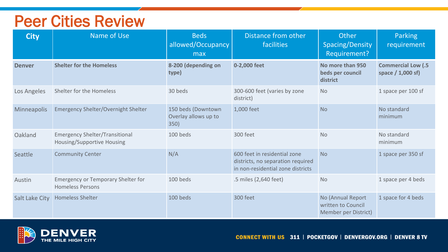#### Peer Cities Review

| <b>City</b>        | Name of Use                                                          | <b>Beds</b><br>allowed/Occupancy<br>max            | Distance from other<br>facilities                                                                      | Other<br>Spacing/Density<br>Requirement?                        | Parking<br>requirement                           |
|--------------------|----------------------------------------------------------------------|----------------------------------------------------|--------------------------------------------------------------------------------------------------------|-----------------------------------------------------------------|--------------------------------------------------|
| <b>Denver</b>      | <b>Shelter for the Homeless</b>                                      | 8-200 (depending on<br>type)                       | 0-2,000 feet                                                                                           | No more than 950<br>beds per council<br>district                | <b>Commercial Low (.5</b><br>space $/ 1,000$ sf) |
| Los Angeles        | Shelter for the Homeless                                             | 30 beds                                            | 300-600 feet (varies by zone<br>district)                                                              | <b>No</b>                                                       | 1 space per 100 sf                               |
| <b>Minneapolis</b> | <b>Emergency Shelter/Overnight Shelter</b>                           | 150 beds (Downtown<br>Overlay allows up to<br>350) | 1,000 feet                                                                                             | <b>No</b>                                                       | No standard<br>minimum                           |
| Oakland            | <b>Emergency Shelter/Transitional</b><br>Housing/Supportive Housing  | 100 beds                                           | 300 feet                                                                                               | <b>No</b>                                                       | No standard<br>minimum                           |
| Seattle            | <b>Community Center</b>                                              | N/A                                                | 600 feet in residential zone<br>districts, no separation required<br>in non-residential zone districts | <b>No</b>                                                       | 1 space per 350 sf                               |
| Austin             | <b>Emergency or Temporary Shelter for</b><br><b>Homeless Persons</b> | 100 beds                                           | .5 miles (2,640 feet)                                                                                  | <b>No</b>                                                       | 1 space per 4 beds                               |
| Salt Lake City     | <b>Homeless Shelter</b>                                              | 100 beds                                           | 300 feet                                                                                               | No (Annual Report<br>written to Council<br>Member per District) | 1 space for 4 beds                               |

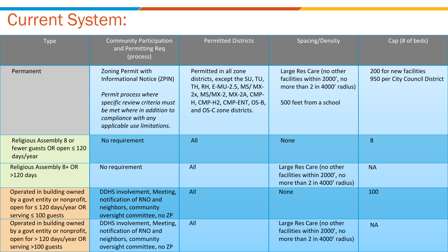# Current System:

| <b>Type</b>                                                                                                                   | <b>Community Participation</b><br>and Permitting Req<br>(process)                                                                                                                                      | <b>Permitted Districts</b>                                                                                                                                               | Spacing/Density                                                                                                   | Cap (# of beds)                                         |
|-------------------------------------------------------------------------------------------------------------------------------|--------------------------------------------------------------------------------------------------------------------------------------------------------------------------------------------------------|--------------------------------------------------------------------------------------------------------------------------------------------------------------------------|-------------------------------------------------------------------------------------------------------------------|---------------------------------------------------------|
| Permanent                                                                                                                     | Zoning Permit with<br><b>Informational Notice (ZPIN)</b><br>Permit process where<br>specific review criteria must<br>be met where in addition to<br>compliance with any<br>applicable use limitations. | Permitted in all zone<br>districts, except the SU, TU,<br>TH, RH, E-MU-2.5, MS/ MX-<br>2x, MS/MX-2, MX-2A, CMP-<br>H, CMP-H2, CMP-ENT, OS-B,<br>and OS-C zone districts. | Large Res Care (no other<br>facilities within 2000', no<br>more than 2 in 4000' radius)<br>500 feet from a school | 200 for new facilities<br>950 per City Council District |
| <b>Religious Assembly 8 or</b><br>fewer guests OR open $\leq 120$<br>days/year                                                | No requirement                                                                                                                                                                                         | All                                                                                                                                                                      | <b>None</b>                                                                                                       | 8                                                       |
| <b>Religious Assembly 8+ OR</b><br>$>120$ days                                                                                | No requirement                                                                                                                                                                                         | All                                                                                                                                                                      | Large Res Care (no other<br>facilities within 2000', no<br>more than 2 in 4000' radius)                           | <b>NA</b>                                               |
| Operated in building owned<br>by a govt entity or nonprofit,<br>open for $\leq 120$ days/year OR<br>serving $\leq 100$ guests | DDHS involvement, Meeting,<br>notification of RNO and<br>neighbors, community<br>oversight committee, no ZP                                                                                            | All                                                                                                                                                                      | <b>None</b>                                                                                                       | 100                                                     |
| Operated in building owned<br>by a govt entity or nonprofit,<br>open for > 120 days/year OR<br>serving >100 guests            | DDHS involvement, Meeting,<br>notification of RNO and<br>neighbors, community<br>oversight committee, no ZP                                                                                            | All                                                                                                                                                                      | Large Res Care (no other<br>facilities within 2000', no<br>more than 2 in 4000' radius)                           | <b>NA</b>                                               |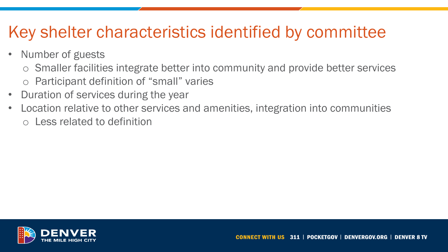# Key shelter characteristics identified by committee

- Number of guests
	- o Smaller facilities integrate better into community and provide better services o Participant definition of "small" varies
- Duration of services during the year
- Location relative to other services and amenities, integration into communities o Less related to definition

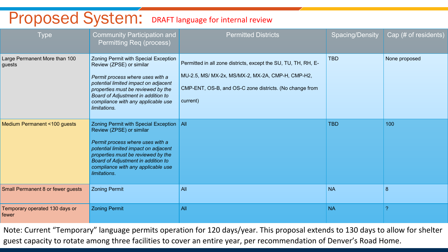# Proposed System: DRAFT language for internal review

| <b>Type</b>                             | <b>Community Participation and</b><br><b>Permitting Req (process)</b>                                                                                                                                                                                                                | <b>Permitted Districts</b>                                                                                                                                                                 | <b>Spacing/Density</b> | Cap (# of residents) |
|-----------------------------------------|--------------------------------------------------------------------------------------------------------------------------------------------------------------------------------------------------------------------------------------------------------------------------------------|--------------------------------------------------------------------------------------------------------------------------------------------------------------------------------------------|------------------------|----------------------|
| Large Permanent More than 100<br>guests | Zoning Permit with Special Exception<br>Review (ZPSE) or similar<br>Permit process where uses with a<br>potential limited impact on adjacent<br>properties must be reviewed by the<br>Board of Adjustment in addition to<br>compliance with any applicable use<br>limitations.       | Permitted in all zone districts, except the SU, TU, TH, RH, E-<br>MU-2.5, MS/ MX-2x, MS/MX-2, MX-2A, CMP-H, CMP-H2,<br>CMP-ENT, OS-B, and OS-C zone districts. (No change from<br>current) | <b>TBD</b>             | None proposed        |
| Medium Permanent <100 guests            | Zoning Permit with Special Exception   All<br>Review (ZPSE) or similar<br>Permit process where uses with a<br>potential limited impact on adjacent<br>properties must be reviewed by the<br>Board of Adjustment in addition to<br>compliance with any applicable use<br>limitations. |                                                                                                                                                                                            | <b>TBD</b>             | 100                  |
| Small Permanent 8 or fewer guests       | <b>Zoning Permit</b>                                                                                                                                                                                                                                                                 | All                                                                                                                                                                                        | <b>NA</b>              | 8                    |
| Temporary operated 130 days or<br>fewer | <b>Zoning Permit</b>                                                                                                                                                                                                                                                                 | All                                                                                                                                                                                        | <b>NA</b>              | 2                    |

Note: Current "Temporary" language permits operation for 120 days/year. This proposal extends to 130 days to allow for shelter guest capacity to rotate among three facilities to cover an entire year, per recommendation of Denver's Road Home.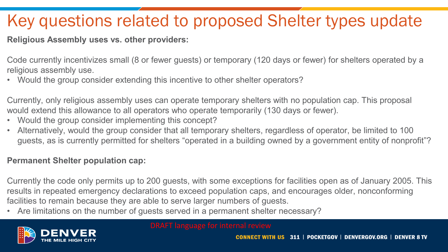# Key questions related to proposed Shelter types update

**Religious Assembly uses vs. other providers:**

Code currently incentivizes small (8 or fewer guests) or temporary (120 days or fewer) for shelters operated by a religious assembly use.

• Would the group consider extending this incentive to other shelter operators?

Currently, only religious assembly uses can operate temporary shelters with no population cap. This proposal would extend this allowance to all operators who operate temporarily (130 days or fewer).

- Would the group consider implementing this concept?
- Alternatively, would the group consider that all temporary shelters, regardless of operator, be limited to 100 guests, as is currently permitted for shelters "operated in a building owned by a government entity of nonprofit"?

#### **Permanent Shelter population cap:**

Currently the code only permits up to 200 guests, with some exceptions for facilities open as of January 2005. This results in repeated emergency declarations to exceed population caps, and encourages older, nonconforming facilities to remain because they are able to serve larger numbers of guests.

• Are limitations on the number of guests served in a permanent shelter necessary?